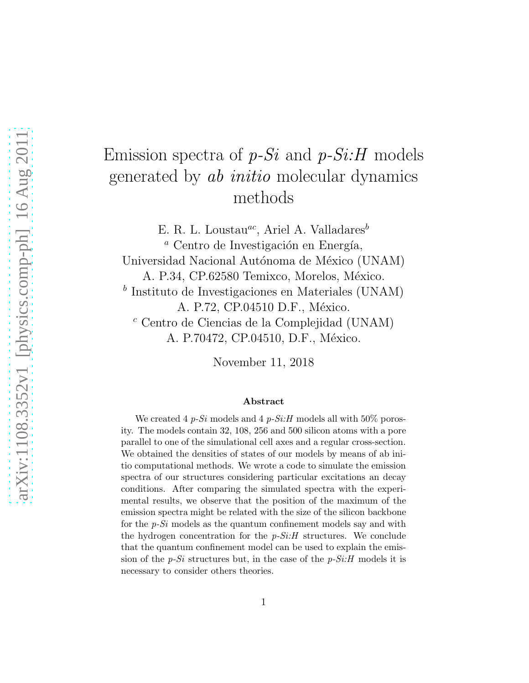# Emission spectra of *p-Si* and *p-Si:H* models generated by *ab initio* molecular dynamics methods

E. R. L. Loustau<sup>ac</sup>, Ariel A. Valladares<sup>b</sup> <sup>*a*</sup> Centro de Investigación en Energía, Universidad Nacional Autónoma de México (UNAM) A. P.34, CP.62580 Temixco, Morelos, México. <sup>b</sup> Instituto de Investigaciones en Materiales (UNAM) A. P.72, CP.04510 D.F., México. <sup>c</sup> Centro de Ciencias de la Complejidad (UNAM) A. P.70472, CP.04510, D.F., México.

November 11, 2018

#### Abstract

We created 4 *p-Si* models and 4 *p-Si:H* models all with 50% porosity. The models contain 32, 108, 256 and 500 silicon atoms with a pore parallel to one of the simulational cell axes and a regular cross-section. We obtained the densities of states of our models by means of ab initio computational methods. We wrote a code to simulate the emission spectra of our structures considering particular excitations an decay conditions. After comparing the simulated spectra with the experimental results, we observe that the position of the maximum of the emission spectra might be related with the size of the silicon backbone for the *p-Si* models as the quantum confinement models say and with the hydrogen concentration for the *p-Si:H* structures. We conclude that the quantum confinement model can be used to explain the emission of the *p-Si* structures but, in the case of the *p-Si:H* models it is necessary to consider others theories.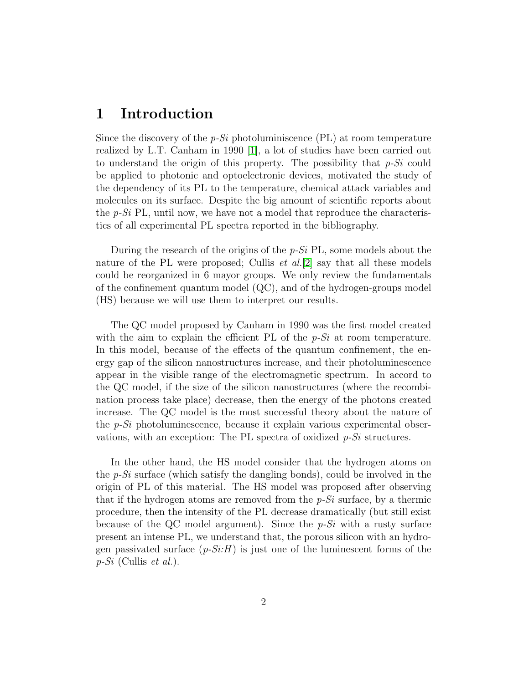### 1 Introduction

Since the discovery of the *p-Si* photoluminiscence (PL) at room temperature realized by L.T. Canham in 1990 [\[1\]](#page-12-0), a lot of studies have been carried out to understand the origin of this property. The possibility that *p-Si* could be applied to photonic and optoelectronic devices, motivated the study of the dependency of its PL to the temperature, chemical attack variables and molecules on its surface. Despite the big amount of scientific reports about the *p-Si* PL, until now, we have not a model that reproduce the characteristics of all experimental PL spectra reported in the bibliography.

During the research of the origins of the *p-Si* PL, some models about the nature of the PL were proposed; Cullis *et al.*[\[2\]](#page-12-1) say that all these models could be reorganized in 6 mayor groups. We only review the fundamentals of the confinement quantum model (QC), and of the hydrogen-groups model (HS) because we will use them to interpret our results.

The QC model proposed by Canham in 1990 was the first model created with the aim to explain the efficient PL of the *p-Si* at room temperature. In this model, because of the effects of the quantum confinement, the energy gap of the silicon nanostructures increase, and their photoluminescence appear in the visible range of the electromagnetic spectrum. In accord to the QC model, if the size of the silicon nanostructures (where the recombination process take place) decrease, then the energy of the photons created increase. The QC model is the most successful theory about the nature of the *p-Si* photoluminescence, because it explain various experimental observations, with an exception: The PL spectra of oxidized *p-Si* structures.

In the other hand, the HS model consider that the hydrogen atoms on the *p-Si* surface (which satisfy the dangling bonds), could be involved in the origin of PL of this material. The HS model was proposed after observing that if the hydrogen atoms are removed from the *p-Si* surface, by a thermic procedure, then the intensity of the PL decrease dramatically (but still exist because of the QC model argument). Since the *p-Si* with a rusty surface present an intense PL, we understand that, the porous silicon with an hydrogen passivated surface  $(p-Si:H)$  is just one of the luminescent forms of the *p-Si* (Cullis *et al.*).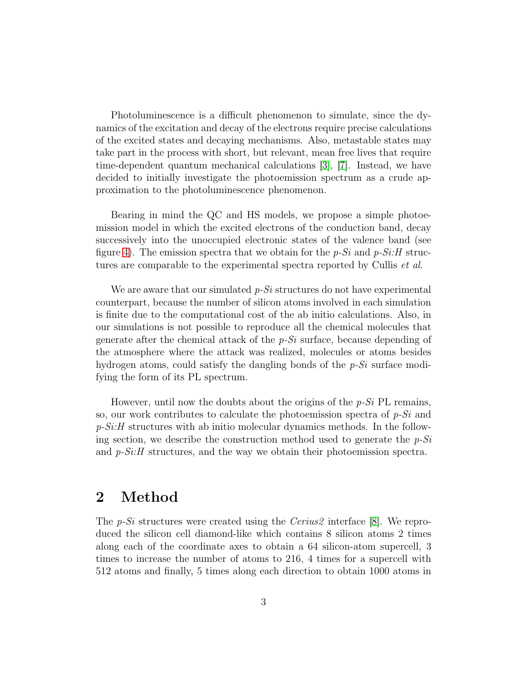Photoluminescence is a difficult phenomenon to simulate, since the dynamics of the excitation and decay of the electrons require precise calculations of the excited states and decaying mechanisms. Also, metastable states may take part in the process with short, but relevant, mean free lives that require time-dependent quantum mechanical calculations [\[3\]](#page-12-2), [\[7\]](#page-12-3). Instead, we have decided to initially investigate the photoemission spectrum as a crude approximation to the photoluminescence phenomenon.

Bearing in mind the QC and HS models, we propose a simple photoemission model in which the excited electrons of the conduction band, decay successively into the unoccupied electronic states of the valence band (see figure [4\)](#page-7-0). The emission spectra that we obtain for the *p-Si* and *p-Si:H* structures are comparable to the experimental spectra reported by Cullis *et al*.

We are aware that our simulated *p-Si* structures do not have experimental counterpart, because the number of silicon atoms involved in each simulation is finite due to the computational cost of the ab initio calculations. Also, in our simulations is not possible to reproduce all the chemical molecules that generate after the chemical attack of the *p-Si* surface, because depending of the atmosphere where the attack was realized, molecules or atoms besides hydrogen atoms, could satisfy the dangling bonds of the *p-Si* surface modifying the form of its PL spectrum.

However, until now the doubts about the origins of the *p-Si* PL remains, so, our work contributes to calculate the photoemission spectra of *p-Si* and *p-Si:H* structures with ab initio molecular dynamics methods. In the following section, we describe the construction method used to generate the *p-Si* and *p-Si:H* structures, and the way we obtain their photoemission spectra.

## 2 Method

The *p-Si* structures were created using the *Cerius2* interface [\[8\]](#page-12-4). We reproduced the silicon cell diamond-like which contains 8 silicon atoms 2 times along each of the coordinate axes to obtain a 64 silicon-atom supercell, 3 times to increase the number of atoms to 216, 4 times for a supercell with 512 atoms and finally, 5 times along each direction to obtain 1000 atoms in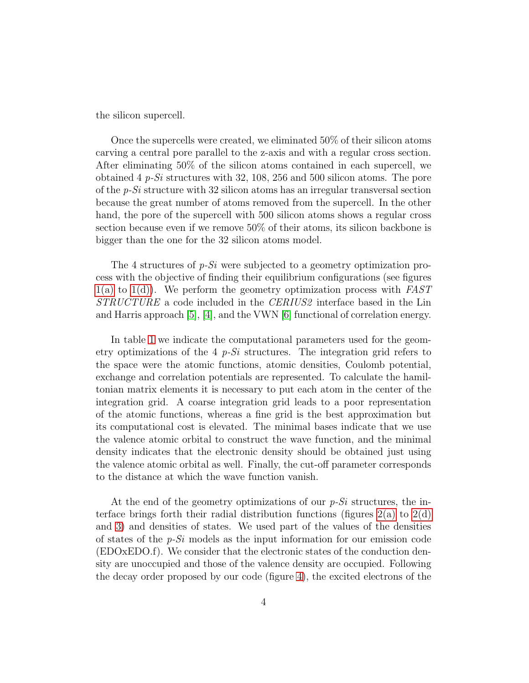the silicon supercell.

Once the supercells were created, we eliminated 50% of their silicon atoms carving a central pore parallel to the z-axis and with a regular cross section. After eliminating 50% of the silicon atoms contained in each supercell, we obtained 4 *p-Si* structures with 32, 108, 256 and 500 silicon atoms. The pore of the *p-Si* structure with 32 silicon atoms has an irregular transversal section because the great number of atoms removed from the supercell. In the other hand, the pore of the supercell with 500 silicon atoms shows a regular cross section because even if we remove 50% of their atoms, its silicon backbone is bigger than the one for the 32 silicon atoms model.

The 4 structures of *p-Si* were subjected to a geometry optimization process with the objective of finding their equilibrium configurations (see figures [1\(a\)](#page-5-0) to [1\(d\)\)](#page-5-1). We perform the geometry optimization process with *FAST STRUCTURE* a code included in the *CERIUS2* interface based in the Lin and Harris approach [\[5\]](#page-12-5), [\[4\]](#page-12-6), and the VWN [\[6\]](#page-12-7) functional of correlation energy.

In table [1](#page-4-0) we indicate the computational parameters used for the geometry optimizations of the 4 *p-Si* structures. The integration grid refers to the space were the atomic functions, atomic densities, Coulomb potential, exchange and correlation potentials are represented. To calculate the hamiltonian matrix elements it is necessary to put each atom in the center of the integration grid. A coarse integration grid leads to a poor representation of the atomic functions, whereas a fine grid is the best approximation but its computational cost is elevated. The minimal bases indicate that we use the valence atomic orbital to construct the wave function, and the minimal density indicates that the electronic density should be obtained just using the valence atomic orbital as well. Finally, the cut-off parameter corresponds to the distance at which the wave function vanish.

At the end of the geometry optimizations of our *p-Si* structures, the interface brings forth their radial distribution functions (figures  $2(a)$  to  $2(d)$ ) and [3\)](#page-7-1) and densities of states. We used part of the values of the densities of states of the *p-Si* models as the input information for our emission code (EDOxEDO.f). We consider that the electronic states of the conduction density are unoccupied and those of the valence density are occupied. Following the decay order proposed by our code (figure [4\)](#page-7-0), the excited electrons of the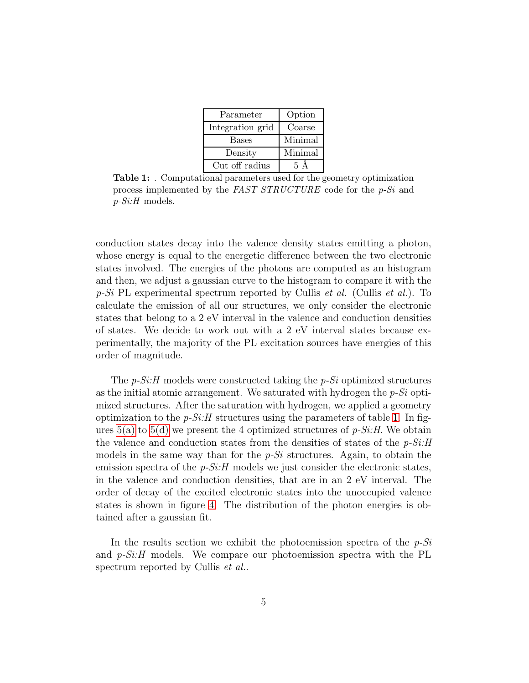| Parameter        | Option    |
|------------------|-----------|
| Integration grid | Coarse    |
| <b>Bases</b>     | Minimal   |
| Density          | Minimal   |
| Cut off radius   | $5\Delta$ |

<span id="page-4-0"></span>Table 1: . Computational parameters used for the geometry optimization process implemented by the *FAST STRUCTURE* code for the *p-Si* and *p-Si:H* models.

conduction states decay into the valence density states emitting a photon, whose energy is equal to the energetic difference between the two electronic states involved. The energies of the photons are computed as an histogram and then, we adjust a gaussian curve to the histogram to compare it with the *p-Si* PL experimental spectrum reported by Cullis *et al.* (Cullis *et al.*). To calculate the emission of all our structures, we only consider the electronic states that belong to a 2 eV interval in the valence and conduction densities of states. We decide to work out with a 2 eV interval states because experimentally, the majority of the PL excitation sources have energies of this order of magnitude.

The *p-Si:H* models were constructed taking the *p-Si* optimized structures as the initial atomic arrangement. We saturated with hydrogen the *p-Si* optimized structures. After the saturation with hydrogen, we applied a geometry optimization to the  $p-Si$ : H structures using the parameters of table [1.](#page-4-0) In figures [5\(a\)](#page-8-0) to [5\(d\)](#page-8-1) we present the 4 optimized structures of *p-Si:H*. We obtain the valence and conduction states from the densities of states of the *p-Si:H* models in the same way than for the *p-Si* structures. Again, to obtain the emission spectra of the *p-Si:H* models we just consider the electronic states, in the valence and conduction densities, that are in an 2 eV interval. The order of decay of the excited electronic states into the unoccupied valence states is shown in figure [4.](#page-7-0) The distribution of the photon energies is obtained after a gaussian fit.

In the results section we exhibit the photoemission spectra of the *p-Si* and *p-Si:H* models. We compare our photoemission spectra with the PL spectrum reported by Cullis *et al.*.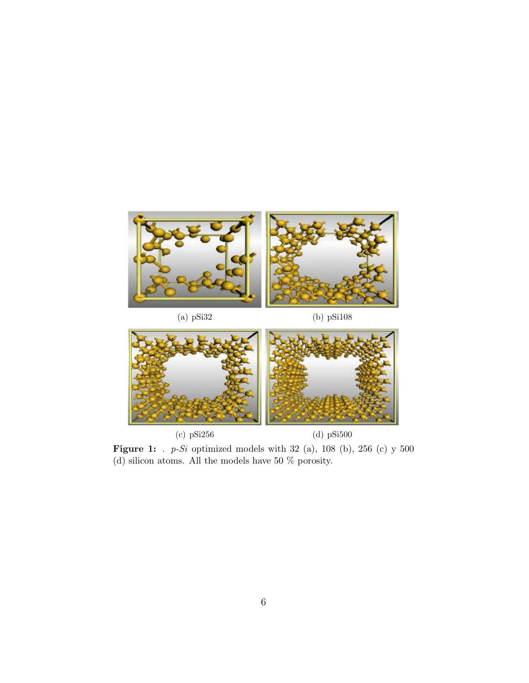<span id="page-5-0"></span>

(c) pSi256 (d) pSi500

<span id="page-5-1"></span>

Figure 1: . *p-Si* optimized models with 32 (a), 108 (b), 256 (c) y 500 (d) silicon atoms. All the models have 50 % porosity.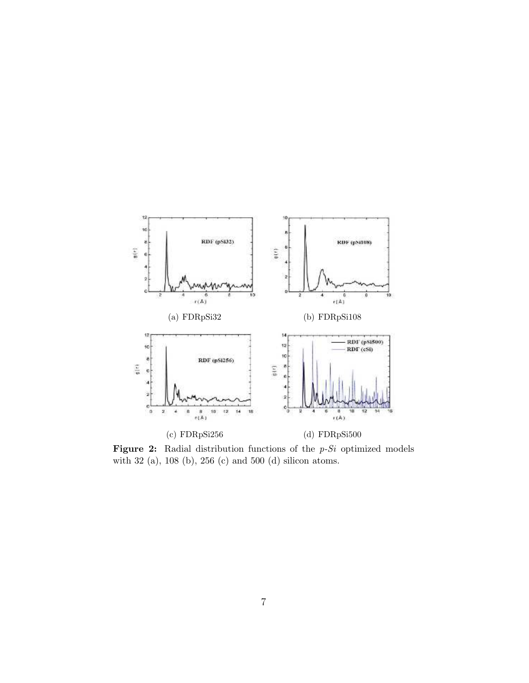<span id="page-6-0"></span>

<span id="page-6-1"></span>Figure 2: Radial distribution functions of the *p-Si* optimized models with 32 (a), 108 (b), 256 (c) and 500 (d) silicon atoms.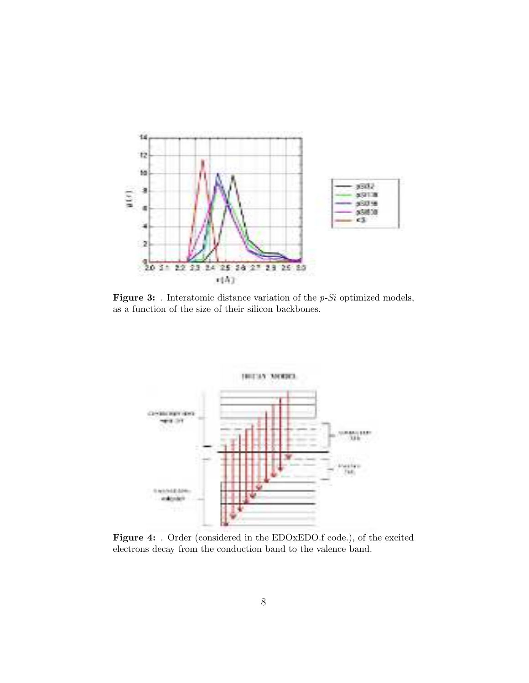<span id="page-7-1"></span>

Figure 3: . Interatomic distance variation of the *p-Si* optimized models, as a function of the size of their silicon backbones.

<span id="page-7-0"></span>

Figure 4: . Order (considered in the EDOxEDO.f code.), of the excited electrons decay from the conduction band to the valence band.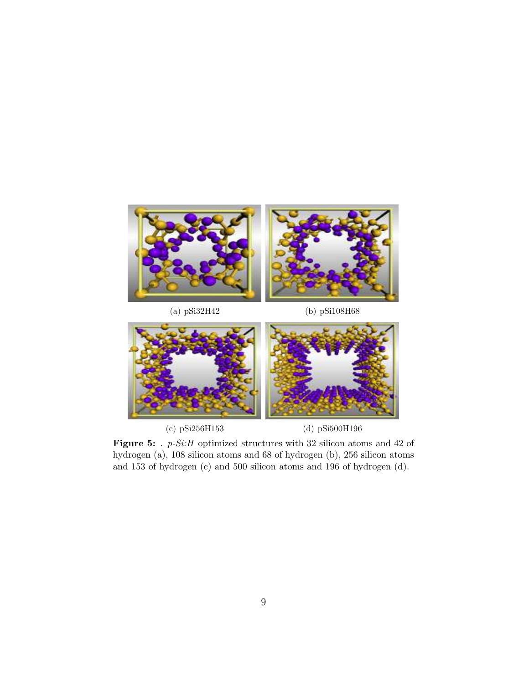<span id="page-8-0"></span>



<span id="page-8-1"></span>

Figure 5: . *p-Si:H* optimized structures with 32 silicon atoms and 42 of hydrogen (a), 108 silicon atoms and 68 of hydrogen (b), 256 silicon atoms and 153 of hydrogen (c) and 500 silicon atoms and 196 of hydrogen (d).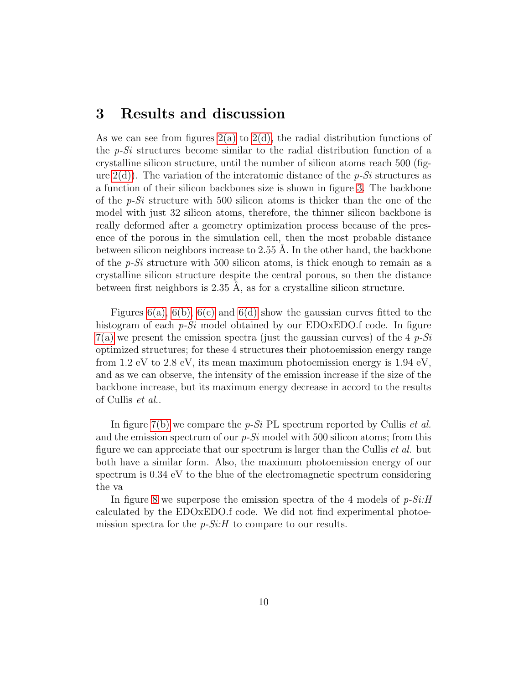#### 3 Results and discussion

As we can see from figures  $2(a)$  to  $2(d)$ , the radial distribution functions of the *p-Si* structures become similar to the radial distribution function of a crystalline silicon structure, until the number of silicon atoms reach 500 (figure [2\(d\)\)](#page-6-1). The variation of the interatomic distance of the *p-Si* structures as a function of their silicon backbones size is shown in figure [3.](#page-7-1) The backbone of the *p-Si* structure with 500 silicon atoms is thicker than the one of the model with just 32 silicon atoms, therefore, the thinner silicon backbone is really deformed after a geometry optimization process because of the presence of the porous in the simulation cell, then the most probable distance between silicon neighbors increase to  $2.55$  Å. In the other hand, the backbone of the *p-Si* structure with 500 silicon atoms, is thick enough to remain as a crystalline silicon structure despite the central porous, so then the distance between first neighbors is  $2.35$  Å, as for a crystalline silicon structure.

Figures  $6(a)$ ,  $6(b)$ ,  $6(c)$  and  $6(d)$  show the gaussian curves fitted to the histogram of each *p-Si* model obtained by our EDOxEDO.f code. In figure [7\(a\)](#page-10-4) we present the emission spectra (just the gaussian curves) of the 4 *p-Si* optimized structures; for these 4 structures their photoemission energy range from 1.2 eV to 2.8 eV, its mean maximum photoemission energy is 1.94 eV, and as we can observe, the intensity of the emission increase if the size of the backbone increase, but its maximum energy decrease in accord to the results of Cullis *et al.*.

In figure [7\(b\)](#page-10-5) we compare the *p-Si* PL spectrum reported by Cullis *et al.* and the emission spectrum of our *p-Si* model with 500 silicon atoms; from this figure we can appreciate that our spectrum is larger than the Cullis *et al.* but both have a similar form. Also, the maximum photoemission energy of our spectrum is 0.34 eV to the blue of the electromagnetic spectrum considering the va

In figure [8](#page-11-0) we superpose the emission spectra of the 4 models of *p-Si:H* calculated by the EDOxEDO.f code. We did not find experimental photoemission spectra for the *p-Si:H* to compare to our results.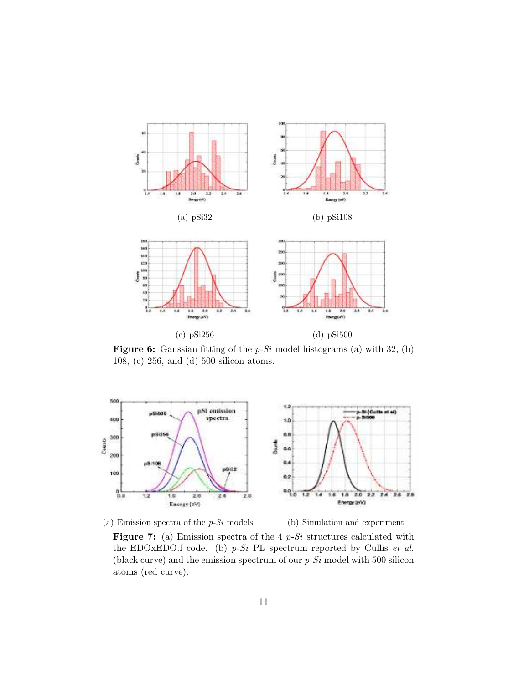<span id="page-10-1"></span><span id="page-10-0"></span>

<span id="page-10-3"></span><span id="page-10-2"></span>Figure 6: Gaussian fitting of the *p-Si* model histograms (a) with 32, (b) 108, (c) 256, and (d) 500 silicon atoms.

<span id="page-10-4"></span>

(a) Emission spectra of the *p-Si* models (b) Simulation and experiment

<span id="page-10-5"></span>

Figure 7: (a) Emission spectra of the 4 *p-Si* structures calculated with the EDOxEDO.f code. (b) *p-Si* PL spectrum reported by Cullis *et al.* (black curve) and the emission spectrum of our *p-Si* model with 500 silicon atoms (red curve).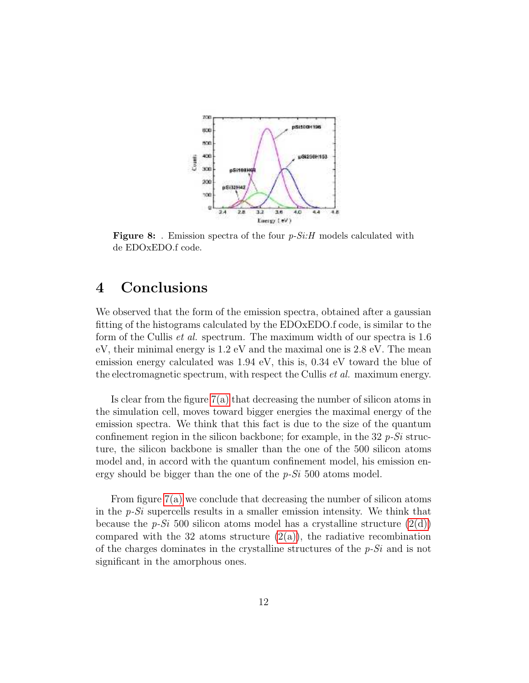<span id="page-11-0"></span>

Figure 8: . Emission spectra of the four *p-Si:H* models calculated with de EDOxEDO.f code.

# 4 Conclusions

We observed that the form of the emission spectra, obtained after a gaussian fitting of the histograms calculated by the EDOxEDO.f code, is similar to the form of the Cullis *et al.* spectrum. The maximum width of our spectra is 1.6 eV, their minimal energy is 1.2 eV and the maximal one is 2.8 eV. The mean emission energy calculated was 1.94 eV, this is, 0.34 eV toward the blue of the electromagnetic spectrum, with respect the Cullis *et al.* maximum energy.

Is clear from the figure [7\(a\)](#page-10-4) that decreasing the number of silicon atoms in the simulation cell, moves toward bigger energies the maximal energy of the emission spectra. We think that this fact is due to the size of the quantum confinement region in the silicon backbone; for example, in the 32 *p-Si* structure, the silicon backbone is smaller than the one of the 500 silicon atoms model and, in accord with the quantum confinement model, his emission energy should be bigger than the one of the *p-Si* 500 atoms model.

From figure [7\(a\)](#page-10-4) we conclude that decreasing the number of silicon atoms in the *p-Si* supercells results in a smaller emission intensity. We think that because the  $p-Si$  500 silicon atoms model has a crystalline structure  $(2(d))$ compared with the 32 atoms structure  $(2(a))$ , the radiative recombination of the charges dominates in the crystalline structures of the *p-Si* and is not significant in the amorphous ones.